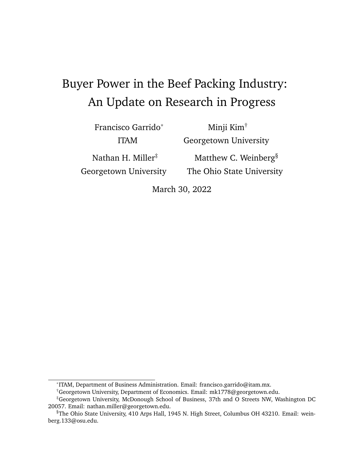# Buyer Power in the Beef Packing Industry: An Update on Research in Progress

Francisco Garrido\* ITAM

Minji Kim† Georgetown University

Nathan H. Miller<sup>‡</sup> Georgetown University

Matthew C. Weinberg<sup>§</sup> The Ohio State University

March 30, 2022

<sup>\*</sup>ITAM, Department of Business Administration. Email: francisco.garrido@itam.mx.

<sup>†</sup>Georgetown University, Department of Economics. Email: mk1778@georgetown.edu.

<sup>‡</sup>Georgetown University, McDonough School of Business, 37th and O Streets NW, Washington DC 20057. Email: nathan.miller@georgetown.edu.

<sup>§</sup>The Ohio State University, 410 Arps Hall, 1945 N. High Street, Columbus OH 43210. Email: weinberg.133@osu.edu.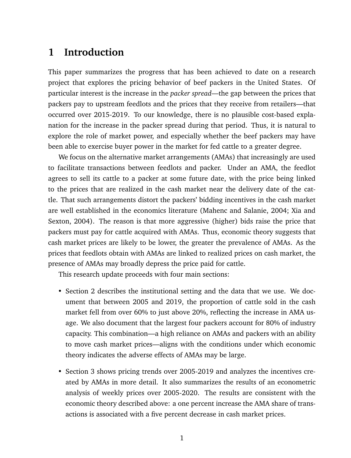## **1 Introduction**

This paper summarizes the progress that has been achieved to date on a research project that explores the pricing behavior of beef packers in the United States. Of particular interest is the increase in the *packer spread*—the gap between the prices that packers pay to upstream feedlots and the prices that they receive from retailers—that occurred over 2015-2019. To our knowledge, there is no plausible cost-based explanation for the increase in the packer spread during that period. Thus, it is natural to explore the role of market power, and especially whether the beef packers may have been able to exercise buyer power in the market for fed cattle to a greater degree.

We focus on the alternative market arrangements (AMAs) that increasingly are used to facilitate transactions between feedlots and packer. Under an AMA, the feedlot agrees to sell its cattle to a packer at some future date, with the price being linked to the prices that are realized in the cash market near the delivery date of the cattle. That such arrangements distort the packers' bidding incentives in the cash market are well established in the economics literature (Mahenc and Salanie, 2004; Xia and Sexton, 2004). The reason is that more aggressive (higher) bids raise the price that packers must pay for cattle acquired with AMAs. Thus, economic theory suggests that cash market prices are likely to be lower, the greater the prevalence of AMAs. As the prices that feedlots obtain with AMAs are linked to realized prices on cash market, the presence of AMAs may broadly depress the price paid for cattle.

This research update proceeds with four main sections:

- Section 2 describes the institutional setting and the data that we use. We document that between 2005 and 2019, the proportion of cattle sold in the cash market fell from over 60% to just above 20%, reflecting the increase in AMA usage. We also document that the largest four packers account for 80% of industry capacity. This combination—a high reliance on AMAs and packers with an ability to move cash market prices—aligns with the conditions under which economic theory indicates the adverse effects of AMAs may be large.
- Section 3 shows pricing trends over 2005-2019 and analyzes the incentives created by AMAs in more detail. It also summarizes the results of an econometric analysis of weekly prices over 2005-2020. The results are consistent with the economic theory described above: a one percent increase the AMA share of transactions is associated with a five percent decrease in cash market prices.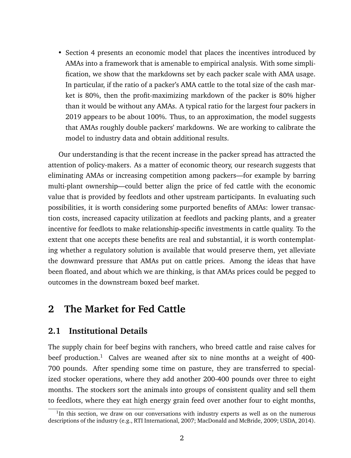• Section 4 presents an economic model that places the incentives introduced by AMAs into a framework that is amenable to empirical analysis. With some simplification, we show that the markdowns set by each packer scale with AMA usage. In particular, if the ratio of a packer's AMA cattle to the total size of the cash market is 80%, then the profit-maximizing markdown of the packer is 80% higher than it would be without any AMAs. A typical ratio for the largest four packers in 2019 appears to be about 100%. Thus, to an approximation, the model suggests that AMAs roughly double packers' markdowns. We are working to calibrate the model to industry data and obtain additional results.

Our understanding is that the recent increase in the packer spread has attracted the attention of policy-makers. As a matter of economic theory, our research suggests that eliminating AMAs or increasing competition among packers—for example by barring multi-plant ownership—could better align the price of fed cattle with the economic value that is provided by feedlots and other upstream participants. In evaluating such possibilities, it is worth considering some purported benefits of AMAs: lower transaction costs, increased capacity utilization at feedlots and packing plants, and a greater incentive for feedlots to make relationship-specific investments in cattle quality. To the extent that one accepts these benefits are real and substantial, it is worth contemplating whether a regulatory solution is available that would preserve them, yet alleviate the downward pressure that AMAs put on cattle prices. Among the ideas that have been floated, and about which we are thinking, is that AMAs prices could be pegged to outcomes in the downstream boxed beef market.

## **2 The Market for Fed Cattle**

#### **2.1 Institutional Details**

The supply chain for beef begins with ranchers, who breed cattle and raise calves for beef production.<sup>1</sup> Calves are weaned after six to nine months at a weight of 400-700 pounds. After spending some time on pasture, they are transferred to specialized stocker operations, where they add another 200-400 pounds over three to eight months. The stockers sort the animals into groups of consistent quality and sell them to feedlots, where they eat high energy grain feed over another four to eight months,

<sup>&</sup>lt;sup>1</sup>In this section, we draw on our conversations with industry experts as well as on the numerous descriptions of the industry (e.g., RTI International, 2007; MacDonald and McBride, 2009; USDA, 2014).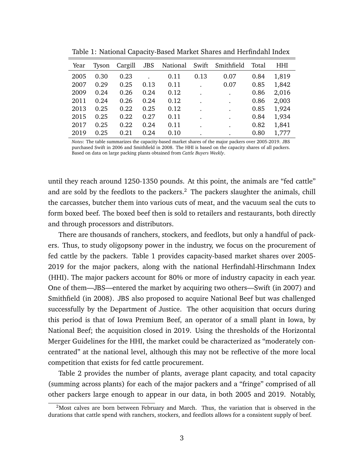| Year | Tyson | Cargill | <b>JBS</b> | National | Swift | Smithfield | Total | HHI   |
|------|-------|---------|------------|----------|-------|------------|-------|-------|
| 2005 | 0.30  | 0.23    |            | 0.11     | 0.13  | 0.07       | 0.84  | 1,819 |
| 2007 | 0.29  | 0.25    | 0.13       | 0.11     |       | 0.07       | 0.85  | 1,842 |
| 2009 | 0.24  | 0.26    | 0.24       | 0.12     |       | $\bullet$  | 0.86  | 2,016 |
| 2011 | 0.24  | 0.26    | 0.24       | 0.12     |       | $\bullet$  | 0.86  | 2,003 |
| 2013 | 0.25  | 0.22    | 0.25       | 0.12     |       | $\bullet$  | 0.85  | 1,924 |
| 2015 | 0.25  | 0.22    | 0.27       | 0.11     |       | $\bullet$  | 0.84  | 1,934 |
| 2017 | 0.25  | 0.22    | 0.24       | 0.11     |       | $\bullet$  | 0.82  | 1,841 |
| 2019 | 0.25  | 0.21    | 0.24       | 0.10     |       | ٠          | 0.80  | 1,777 |

Table 1: National Capacity-Based Market Shares and Herfindahl Index

*Notes*: The table summarizes the capacity-based market shares of the major packers over 2005-2019. JBS purchased Swift in 2006 and Smithfield in 2008. The HHI is based on the capacity shares of all packers. Based on data on large packing plants obtained from *Cattle Buyers Weekly*.

until they reach around 1250-1350 pounds. At this point, the animals are "fed cattle" and are sold by the feedlots to the packers.<sup>2</sup> The packers slaughter the animals, chill the carcasses, butcher them into various cuts of meat, and the vacuum seal the cuts to form boxed beef. The boxed beef then is sold to retailers and restaurants, both directly and through processors and distributors.

There are thousands of ranchers, stockers, and feedlots, but only a handful of packers. Thus, to study oligopsony power in the industry, we focus on the procurement of fed cattle by the packers. Table 1 provides capacity-based market shares over 2005- 2019 for the major packers, along with the national Herfindahl-Hirschmann Index (HHI). The major packers account for 80% or more of industry capacity in each year. One of them—JBS—entered the market by acquiring two others—Swift (in 2007) and Smithfield (in 2008). JBS also proposed to acquire National Beef but was challenged successfully by the Department of Justice. The other acquisition that occurs during this period is that of Iowa Premium Beef, an operator of a small plant in Iowa, by National Beef; the acquisition closed in 2019. Using the thresholds of the Horizontal Merger Guidelines for the HHI, the market could be characterized as "moderately concentrated" at the national level, although this may not be reflective of the more local competition that exists for fed cattle procurement.

Table 2 provides the number of plants, average plant capacity, and total capacity (summing across plants) for each of the major packers and a "fringe" comprised of all other packers large enough to appear in our data, in both 2005 and 2019. Notably,

 $<sup>2</sup>$ Most calves are born between February and March. Thus, the variation that is observed in the</sup> durations that cattle spend with ranchers, stockers, and feedlots allows for a consistent supply of beef.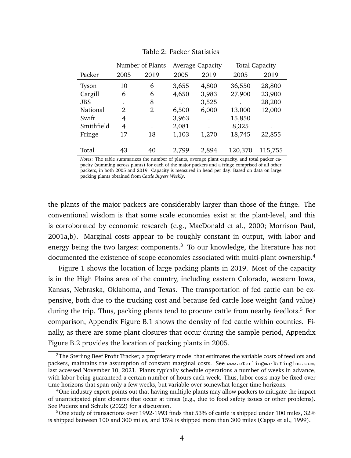|              | Number of Plants |                |       | <b>Average Capacity</b> | <b>Total Capacity</b> |         |  |
|--------------|------------------|----------------|-------|-------------------------|-----------------------|---------|--|
| Packer       | 2005             | 2019           | 2005  | 2019                    | 2005                  | 2019    |  |
| <b>Tyson</b> | 10               | 6              | 3,655 | 4,800                   | 36,550                | 28,800  |  |
| Cargill      | 6                | 6              | 4,650 | 3,983                   | 27,900                | 23,900  |  |
| <b>JBS</b>   |                  | 8              |       | 3,525                   | ٠                     | 28,200  |  |
| National     | $\overline{2}$   | $\mathfrak{D}$ | 6,500 | 6,000                   | 13,000                | 12,000  |  |
| Swift        | 4                |                | 3,963 |                         | 15,850                |         |  |
| Smithfield   | 4                |                | 2,081 |                         | 8,325                 |         |  |
| Fringe       | 17               | 18             | 1,103 | 1,270                   | 18,745                | 22,855  |  |
|              |                  |                |       |                         |                       |         |  |
| Total        | 43               | 40             | 2,799 | 2,894                   | 120,370               | 115,755 |  |

Table 2: Packer Statistics

*Notes*: The table summarizes the number of plants, average plant capacity, and total packer capacity (summing across plants) for each of the major packers and a fringe comprised of all other packers, in both 2005 and 2019. Capacity is measured in head per day. Based on data on large packing plants obtained from *Cattle Buyers Weekly*.

the plants of the major packers are considerably larger than those of the fringe. The conventional wisdom is that some scale economies exist at the plant-level, and this is corroborated by economic research (e.g., MacDonald et al., 2000; Morrison Paul, 2001a,b). Marginal costs appear to be roughly constant in output, with labor and energy being the two largest components. $3$  To our knowledge, the literature has not documented the existence of scope economies associated with multi-plant ownership.<sup>4</sup>

Figure 1 shows the location of large packing plants in 2019. Most of the capacity is in the High Plains area of the country, including eastern Colorado, western Iowa, Kansas, Nebraska, Oklahoma, and Texas. The transportation of fed cattle can be expensive, both due to the trucking cost and because fed cattle lose weight (and value) during the trip. Thus, packing plants tend to procure cattle from nearby feedlots.<sup>5</sup> For comparison, Appendix Figure B.1 shows the density of fed cattle within counties. Finally, as there are some plant closures that occur during the sample period, Appendix Figure B.2 provides the location of packing plants in 2005.

<sup>&</sup>lt;sup>3</sup>The Sterling Beef Profit Tracker, a proprietary model that estimates the variable costs of feedlots and packers, maintains the assumption of constant marginal costs. See www.sterlingmarketinginc.com, last accessed November 10, 2021. Plants typically schedule operations a number of weeks in advance, with labor being guaranteed a certain number of hours each week. Thus, labor costs may be fixed over time horizons that span only a few weeks, but variable over somewhat longer time horizons.

<sup>&</sup>lt;sup>4</sup>One industry expert points out that having multiple plants may allow packers to mitigate the impact of unanticipated plant closures that occur at times (e.g., due to food safety issues or other problems). See Pudenz and Schulz (2022) for a discussion.

<sup>5</sup>One study of transactions over 1992-1993 finds that 53% of cattle is shipped under 100 miles, 32% is shipped between 100 and 300 miles, and 15% is shipped more than 300 miles (Capps et al., 1999).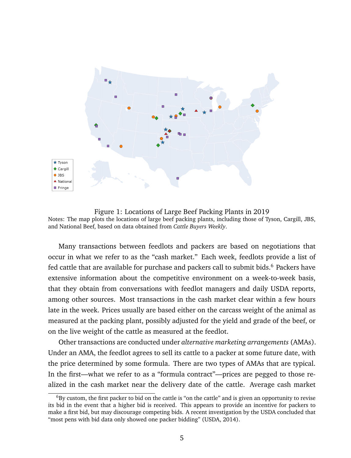

Figure 1: Locations of Large Beef Packing Plants in 2019 Notes: The map plots the locations of large beef packing plants, including those of Tyson, Cargill, JBS, and National Beef, based on data obtained from *Cattle Buyers Weekly*.

Many transactions between feedlots and packers are based on negotiations that occur in what we refer to as the "cash market." Each week, feedlots provide a list of fed cattle that are available for purchase and packers call to submit bids.<sup>6</sup> Packers have extensive information about the competitive environment on a week-to-week basis, that they obtain from conversations with feedlot managers and daily USDA reports, among other sources. Most transactions in the cash market clear within a few hours late in the week. Prices usually are based either on the carcass weight of the animal as measured at the packing plant, possibly adjusted for the yield and grade of the beef, or on the live weight of the cattle as measured at the feedlot.

Other transactions are conducted under *alternative marketing arrangements* (AMAs). Under an AMA, the feedlot agrees to sell its cattle to a packer at some future date, with the price determined by some formula. There are two types of AMAs that are typical. In the first—what we refer to as a "formula contract"—prices are pegged to those realized in the cash market near the delivery date of the cattle. Average cash market

 $6By$  custom, the first packer to bid on the cattle is "on the cattle" and is given an opportunity to revise its bid in the event that a higher bid is received. This appears to provide an incentive for packers to make a first bid, but may discourage competing bids. A recent investigation by the USDA concluded that "most pens with bid data only showed one packer bidding" (USDA, 2014).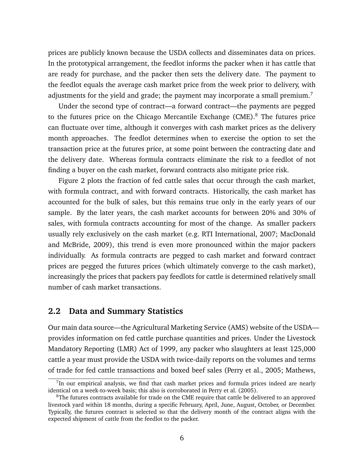prices are publicly known because the USDA collects and disseminates data on prices. In the prototypical arrangement, the feedlot informs the packer when it has cattle that are ready for purchase, and the packer then sets the delivery date. The payment to the feedlot equals the average cash market price from the week prior to delivery, with adjustments for the yield and grade; the payment may incorporate a small premium.<sup>7</sup>

Under the second type of contract—a forward contract—the payments are pegged to the futures price on the Chicago Mercantile Exchange (CME).<sup>8</sup> The futures price can fluctuate over time, although it converges with cash market prices as the delivery month approaches. The feedlot determines when to exercise the option to set the transaction price at the futures price, at some point between the contracting date and the delivery date. Whereas formula contracts eliminate the risk to a feedlot of not finding a buyer on the cash market, forward contracts also mitigate price risk.

Figure 2 plots the fraction of fed cattle sales that occur through the cash market, with formula contract, and with forward contracts. Historically, the cash market has accounted for the bulk of sales, but this remains true only in the early years of our sample. By the later years, the cash market accounts for between 20% and 30% of sales, with formula contracts accounting for most of the change. As smaller packers usually rely exclusively on the cash market (e.g. RTI International, 2007; MacDonald and McBride, 2009), this trend is even more pronounced within the major packers individually. As formula contracts are pegged to cash market and forward contract prices are pegged the futures prices (which ultimately converge to the cash market), increasingly the prices that packers pay feedlots for cattle is determined relatively small number of cash market transactions.

#### **2.2 Data and Summary Statistics**

Our main data source—the Agricultural Marketing Service (AMS) website of the USDA provides information on fed cattle purchase quantities and prices. Under the Livestock Mandatory Reporting (LMR) Act of 1999, any packer who slaughters at least 125,000 cattle a year must provide the USDA with twice-daily reports on the volumes and terms of trade for fed cattle transactions and boxed beef sales (Perry et al., 2005; Mathews,

<sup>&</sup>lt;sup>7</sup>In our empirical analysis, we find that cash market prices and formula prices indeed are nearly identical on a week-to-week basis; this also is corroborated in Perry et al. (2005).

<sup>&</sup>lt;sup>8</sup>The futures contracts available for trade on the CME require that cattle be delivered to an approved livestock yard within 18 months, during a specific February, April, June, August, October, or December. Typically, the futures contract is selected so that the delivery month of the contract aligns with the expected shipment of cattle from the feedlot to the packer.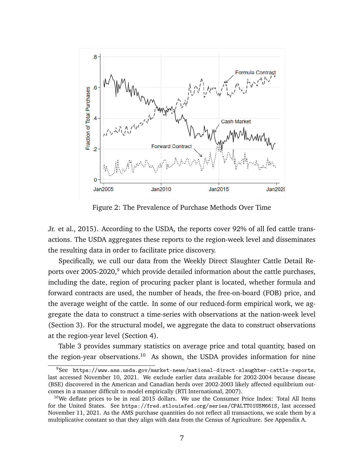

Figure 2: The Prevalence of Purchase Methods Over Time

Jr. et al., 2015). According to the USDA, the reports cover 92% of all fed cattle transactions. The USDA aggregates these reports to the region-week level and disseminates the resulting data in order to facilitate price discovery.

Specifically, we cull our data from the Weekly Direct Slaughter Cattle Detail Reports over 2005-2020,<sup>9</sup> which provide detailed information about the cattle purchases, including the date, region of procuring packer plant is located, whether formula and forward contracts are used, the number of heads, the free-on-board (FOB) price, and the average weight of the cattle. In some of our reduced-form empirical work, we aggregate the data to construct a time-series with observations at the nation-week level (Section 3). For the structural model, we aggregate the data to construct observations at the region-year level (Section 4).

Table 3 provides summary statistics on average price and total quantity, based on the region-year observations.<sup>10</sup> As shown, the USDA provides information for nine

 $9$ See https://www.ams.usda.gov/market-news/national-direct-slaughter-cattle-reports, last accessed November 10, 2021. We exclude earlier data available for 2002-2004 because disease (BSE) discovered in the American and Canadian herds over 2002-2003 likely affected equilibrium outcomes in a manner difficult to model empirically (RTI International, 2007).

 $10$ We deflate prices to be in real 2015 dollars. We use the Consumer Price Index: Total All Items for the United States. See https://fred.stlouisfed.org/series/CPALTT01USM661S, last accessed November 11, 2021. As the AMS purchase quantities do not reflect all transactions, we scale them by a multiplicative constant so that they align with data from the Census of Agriculture. See Appendix A.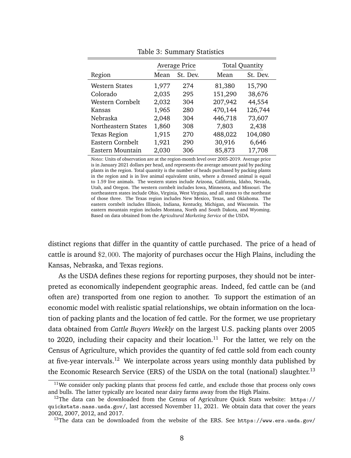|                       |       | <b>Average Price</b> | <b>Total Quantity</b> |          |  |  |
|-----------------------|-------|----------------------|-----------------------|----------|--|--|
| Region                | Mean  | St. Dev.             | Mean                  | St. Dev. |  |  |
| <b>Western States</b> | 1,977 | 274                  | 81,380                | 15,790   |  |  |
| Colorado              | 2,035 | 295                  | 151,290               | 38,676   |  |  |
| Western Cornbelt      | 2,032 | 304                  | 207,942               | 44,554   |  |  |
| Kansas                | 1,965 | 280                  | 470,144               | 126,744  |  |  |
| Nebraska              | 2,048 | 304                  | 446,718               | 73,607   |  |  |
| Northeastern States   | 1,860 | 308                  | 7,803                 | 2,438    |  |  |
| <b>Texas Region</b>   | 1,915 | 270                  | 488,022               | 104,080  |  |  |
| Eastern Cornbelt      | 1,921 | 290                  | 30,916                | 6,646    |  |  |
| Eastern Mountain      | 2,030 | 306                  | 85,873                | 17,708   |  |  |

Table 3: Summary Statistics

*Notes*: Units of observation are at the region-month level over 2005-2019. Average price is in January 2021 dollars per head, and represents the average amount paid by packing plants in the region. Total quantity is the number of heads purchased by packing plants in the region and is in live animal equivalent units, where a dressed animal is equal to 1.59 live animals. The western states include Arizona, California, Idaho, Nevada, Utah, and Oregon. The western cornbelt includes Iowa, Minnesota, and Missouri. The northeastern states include Ohio, Virginia, West Virginia, and all states to the northeast of those three. The Texas region includes New Mexico, Texas, and Oklahoma. The eastern cornbelt includes Illinois, Indiana, Kentucky, Michigan, and Wisconsin. The eastern mountain region includes Montana, North and South Dakota, and Wyoming. Based on data obtained from the *Agricultural Marketing Service* of the USDA.

distinct regions that differ in the quantity of cattle purchased. The price of a head of cattle is around \$2, 000. The majority of purchases occur the High Plains, including the Kansas, Nebraska, and Texas regions.

As the USDA defines these regions for reporting purposes, they should not be interpreted as economically independent geographic areas. Indeed, fed cattle can be (and often are) transported from one region to another. To support the estimation of an economic model with realistic spatial relationships, we obtain information on the location of packing plants and the location of fed cattle. For the former, we use proprietary data obtained from *Cattle Buyers Weekly* on the largest U.S. packing plants over 2005 to 2020, including their capacity and their location.<sup>11</sup> For the latter, we rely on the Census of Agriculture, which provides the quantity of fed cattle sold from each county at five-year intervals.<sup>12</sup> We interpolate across years using monthly data published by the Economic Research Service (ERS) of the USDA on the total (national) slaughter.<sup>13</sup>

<sup>&</sup>lt;sup>11</sup>We consider only packing plants that process fed cattle, and exclude those that process only cows and bulls. The latter typically are located near dairy farms away from the High Plains.

<sup>&</sup>lt;sup>12</sup>The data can be downloaded from the Census of Agriculture Quick Stats website: https:// quickstats.nass.usda.gov/, last accessed November 11, 2021. We obtain data that cover the years 2002, 2007, 2012, and 2017.

<sup>&</sup>lt;sup>13</sup>The data can be downloaded from the website of the ERS. See https://www.ers.usda.gov/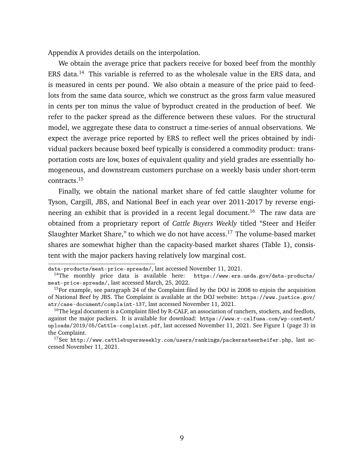Appendix A provides details on the interpolation.

We obtain the average price that packers receive for boxed beef from the monthly ERS data.<sup>14</sup> This variable is referred to as the wholesale value in the ERS data, and is measured in cents per pound. We also obtain a measure of the price paid to feedlots from the same data source, which we construct as the gross farm value measured in cents per ton minus the value of byproduct created in the production of beef. We refer to the packer spread as the difference between these values. For the structural model, we aggregate these data to construct a time-series of annual observations. We expect the average price reported by ERS to reflect well the prices obtained by individual packers because boxed beef typically is considered a commodity product: transportation costs are low, boxes of equivalent quality and yield grades are essentially homogeneous, and downstream customers purchase on a weekly basis under short-term contracts.<sup>15</sup>

Finally, we obtain the national market share of fed cattle slaughter volume for Tyson, Cargill, JBS, and National Beef in each year over 2011-2017 by reverse engineering an exhibit that is provided in a recent legal document.<sup>16</sup> The raw data are obtained from a proprietary report of *Cattle Buyers Weekly* titled "Steer and Heifer Slaughter Market Share," to which we do not have access.<sup>17</sup> The volume-based market shares are somewhat higher than the capacity-based market shares (Table 1), consistent with the major packers having relatively low marginal cost.

data-products/meat-price-spreads/, last accessed November 11, 2021.

<sup>&</sup>lt;sup>14</sup>The monthly price data is available here: https://www.ers.usda.gov/data-products/ meat-price-spreads/, last accessed March, 25, 2022.

<sup>&</sup>lt;sup>15</sup>For example, see paragraph 24 of the Complaint filed by the DOJ in 2008 to enjoin the acquisition of National Beef by JBS. The Complaint is available at the DOJ website: https://www.justice.gov/ atr/case-document/complaint-137, last accessed November 11, 2021.

<sup>&</sup>lt;sup>16</sup>The legal document is a Complaint filed by R-CALF, an association of ranchers, stockers, and feedlots, against the major packers. It is available for download: https://www.r-calfusa.com/wp-content/ uploads/2019/05/Cattle-complaint.pdf, last accessed November 11, 2021. See Figure 1 (page 3) in the Complaint.

<sup>&</sup>lt;sup>17</sup>See http://www.cattlebuyersweekly.com/users/rankings/packerssteerheifer.php, last accessed November 11, 2021.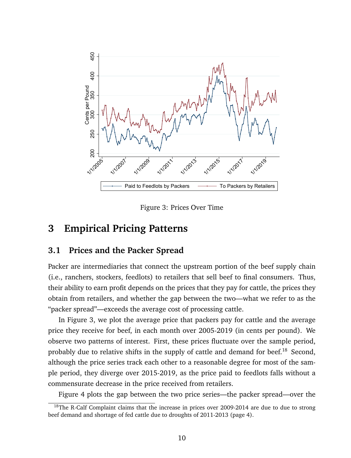

Figure 3: Prices Over Time

### **3 Empirical Pricing Patterns**

#### **3.1 Prices and the Packer Spread**

Packer are intermediaries that connect the upstream portion of the beef supply chain (i.e., ranchers, stockers, feedlots) to retailers that sell beef to final consumers. Thus, their ability to earn profit depends on the prices that they pay for cattle, the prices they obtain from retailers, and whether the gap between the two—what we refer to as the "packer spread"—exceeds the average cost of processing cattle.

In Figure 3, we plot the average price that packers pay for cattle and the average price they receive for beef, in each month over 2005-2019 (in cents per pound). We observe two patterns of interest. First, these prices fluctuate over the sample period, probably due to relative shifts in the supply of cattle and demand for beef.<sup>18</sup> Second, although the price series track each other to a reasonable degree for most of the sample period, they diverge over 2015-2019, as the price paid to feedlots falls without a commensurate decrease in the price received from retailers.

Figure 4 plots the gap between the two price series—the packer spread—over the

<sup>&</sup>lt;sup>18</sup>The R-Calf Complaint claims that the increase in prices over 2009-2014 are due to due to strong beef demand and shortage of fed cattle due to droughts of 2011-2013 (page 4).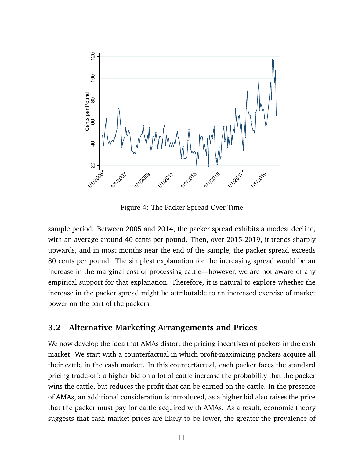

Figure 4: The Packer Spread Over Time

sample period. Between 2005 and 2014, the packer spread exhibits a modest decline, with an average around 40 cents per pound. Then, over 2015-2019, it trends sharply upwards, and in most months near the end of the sample, the packer spread exceeds 80 cents per pound. The simplest explanation for the increasing spread would be an increase in the marginal cost of processing cattle—however, we are not aware of any empirical support for that explanation. Therefore, it is natural to explore whether the increase in the packer spread might be attributable to an increased exercise of market power on the part of the packers.

#### **3.2 Alternative Marketing Arrangements and Prices**

We now develop the idea that AMAs distort the pricing incentives of packers in the cash market. We start with a counterfactual in which profit-maximizing packers acquire all their cattle in the cash market. In this counterfactual, each packer faces the standard pricing trade-off: a higher bid on a lot of cattle increase the probability that the packer wins the cattle, but reduces the profit that can be earned on the cattle. In the presence of AMAs, an additional consideration is introduced, as a higher bid also raises the price that the packer must pay for cattle acquired with AMAs. As a result, economic theory suggests that cash market prices are likely to be lower, the greater the prevalence of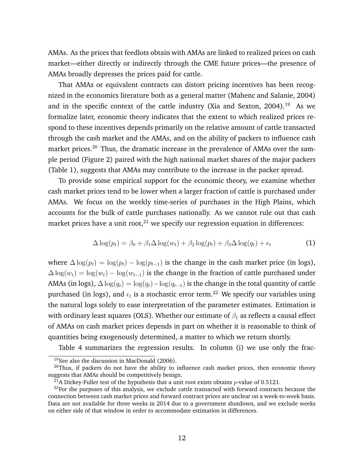AMAs. As the prices that feedlots obtain with AMAs are linked to realized prices on cash market—either directly or indirectly through the CME future prices—the presence of AMAs broadly depresses the prices paid for cattle.

That AMAs or equivalent contracts can distort pricing incentives has been recognized in the economics literature both as a general matter (Mahenc and Salanie, 2004) and in the specific context of the cattle industry (Xia and Sexton, 2004).<sup>19</sup> As we formalize later, economic theory indicates that the extent to which realized prices respond to these incentives depends primarily on the relative amount of cattle transacted through the cash market and the AMAs, and on the ability of packers to influence cash market prices.<sup>20</sup> Thus, the dramatic increase in the prevalence of AMAs over the sample period (Figure 2) paired with the high national market shares of the major packers (Table 1), suggests that AMAs may contribute to the increase in the packer spread.

To provide some empirical support for the economic theory, we examine whether cash market prices tend to be lower when a larger fraction of cattle is purchased under AMAs. We focus on the weekly time-series of purchases in the High Plains, which accounts for the bulk of cattle purchases nationally. As we cannot rule out that cash market prices have a unit root, $^{21}$  we specify our regression equation in differences:

$$
\Delta \log(p_t) = \beta_0 + \beta_1 \Delta \log(w_t) + \beta_2 \log(p_t) + \beta_3 \Delta \log(q_t) + \epsilon_t \tag{1}
$$

where  $\Delta \log(p_t) = \log(p_t) - \log(p_{t-1})$  is the change in the cash market price (in logs),  $\Delta \log(w_t) = \log(w_t) - \log(w_{t-1})$  is the change in the fraction of cattle purchased under AMAs (in logs),  $\Delta \log(q_t) = \log(q_t) - \log(q_{t-1})$  is the change in the total quantity of cattle purchased (in logs), and  $\epsilon_t$  is a stochastic error term.<sup>22</sup> We specify our variables using the natural logs solely to ease interpretation of the parameter estimates. Estimation is with ordinary least squares (OLS). Whether our estimate of  $\beta_1$  as reflects a causal effect of AMAs on cash market prices depends in part on whether it is reasonable to think of quantities being exogenously determined, a matter to which we return shortly.

Table 4 summarizes the regression results. In column (i) we use only the frac-

<sup>&</sup>lt;sup>19</sup>See also the discussion in MacDonald (2006).

 $^{20}$ Thus, if packers do not have the ability to influence cash market prices, then economic theory suggests that AMAs should be competitively benign.

 $^{21}$ A Dickey-Fuller test of the hypothesis that a unit root exists obtains *p*-value of 0.5121.

 $22$ For the purposes of this analysis, we exclude cattle transacted with forward contracts because the connection between cash market prices and forward contract prices are unclear on a week-to-week basis. Data are not available for three weeks in 2014 due to a government shutdown, and we exclude weeks on either side of that window in order to accommodate estimation in differences.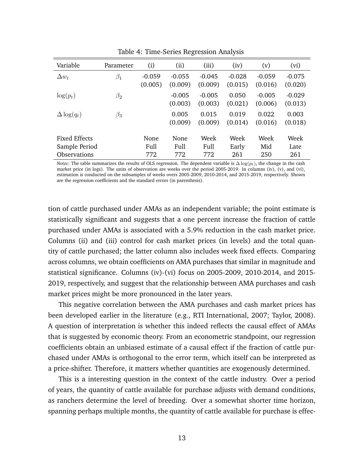| Variable                       | Parameter | (i)                 | (ii)                | (iii)               | (iv)                | (v)                 | (vi)                |
|--------------------------------|-----------|---------------------|---------------------|---------------------|---------------------|---------------------|---------------------|
| $\Delta w_t$                   | $\beta_1$ | $-0.059$<br>(0.005) | $-0.055$<br>(0.009) | $-0.045$<br>(0.009) | $-0.028$<br>(0.015) | $-0.059$<br>(0.016) | $-0.075$<br>(0.020) |
| $\log(p_t)$                    | $\beta_2$ |                     | $-0.005$<br>(0.003) | $-0.005$<br>(0.003) | 0.050<br>(0.021)    | $-0.005$<br>(0.006) | $-0.029$<br>(0.013) |
| $\Delta \log(q_t)$             | $\beta_3$ |                     | 0.005<br>(0.009)    | 0.015<br>(0.009)    | 0.019<br>(0.014)    | 0.022<br>(0.016)    | 0.003<br>(0.018)    |
| Fixed Effects<br>Sample Period |           | None<br>Full        | <b>None</b><br>Full | Week<br>Full        | Week<br>Early       | Week<br>Mid         | Week<br>Late        |
| <b>Observations</b>            |           | 772                 | 772                 | 772                 | 261                 | 250                 | 261                 |

Table 4: Time-Series Regression Analysis

*Notes*: The table summarizes the results of OLS regression. The dependent variable is  $\Delta \log(p_t)$ , the change in the cash market price (in logs). The units of observation are weeks over the period 2005-2019. In columns (iv), (v), and (vi), estimation is conducted on the subsamples of weeks overs 2005-2009, 2010-2014, and 2015-2019, respectively. Shown are the regression coefficients and the standard errors (in parenthesis).

tion of cattle purchased under AMAs as an independent variable; the point estimate is statistically significant and suggests that a one percent increase the fraction of cattle purchased under AMAs is associated with a 5.9% reduction in the cash market price. Columns (ii) and (iii) control for cash market prices (in levels) and the total quantity of cattle purchased; the latter column also includes week fixed effects. Comparing across columns, we obtain coefficients on AMA purchases that similar in magnitude and statistical significance. Columns (iv)-(vi) focus on 2005-2009, 2010-2014, and 2015- 2019, respectively, and suggest that the relationship between AMA purchases and cash market prices might be more pronounced in the later years.

This negative correlation between the AMA purchases and cash market prices has been developed earlier in the literature (e.g., RTI International, 2007; Taylor, 2008). A question of interpretation is whether this indeed reflects the causal effect of AMAs that is suggested by economic theory. From an econometric standpoint, our regression coefficients obtain an unbiased estimate of a causal effect if the fraction of cattle purchased under AMAs is orthogonal to the error term, which itself can be interpreted as a price-shifter. Therefore, it matters whether quantities are exogenously determined.

This is a interesting question in the context of the cattle industry. Over a period of years, the quantity of cattle available for purchase adjusts with demand conditions, as ranchers determine the level of breeding. Over a somewhat shorter time horizon, spanning perhaps multiple months, the quantity of cattle available for purchase is effec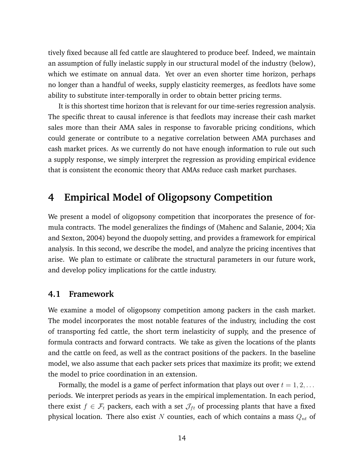tively fixed because all fed cattle are slaughtered to produce beef. Indeed, we maintain an assumption of fully inelastic supply in our structural model of the industry (below), which we estimate on annual data. Yet over an even shorter time horizon, perhaps no longer than a handful of weeks, supply elasticity reemerges, as feedlots have some ability to substitute inter-temporally in order to obtain better pricing terms.

It is this shortest time horizon that is relevant for our time-series regression analysis. The specific threat to causal inference is that feedlots may increase their cash market sales more than their AMA sales in response to favorable pricing conditions, which could generate or contribute to a negative correlation between AMA purchases and cash market prices. As we currently do not have enough information to rule out such a supply response, we simply interpret the regression as providing empirical evidence that is consistent the economic theory that AMAs reduce cash market purchases.

## **4 Empirical Model of Oligopsony Competition**

We present a model of oligopsony competition that incorporates the presence of formula contracts. The model generalizes the findings of (Mahenc and Salanie, 2004; Xia and Sexton, 2004) beyond the duopoly setting, and provides a framework for empirical analysis. In this second, we describe the model, and analyze the pricing incentives that arise. We plan to estimate or calibrate the structural parameters in our future work, and develop policy implications for the cattle industry.

#### **4.1 Framework**

We examine a model of oligopsony competition among packers in the cash market. The model incorporates the most notable features of the industry, including the cost of transporting fed cattle, the short term inelasticity of supply, and the presence of formula contracts and forward contracts. We take as given the locations of the plants and the cattle on feed, as well as the contract positions of the packers. In the baseline model, we also assume that each packer sets prices that maximize its profit; we extend the model to price coordination in an extension.

Formally, the model is a game of perfect information that plays out over  $t = 1, 2, \ldots$ periods. We interpret periods as years in the empirical implementation. In each period, there exist  $f \in \mathcal{F}_t$  packers, each with a set  $\mathcal{J}_{ft}$  of processing plants that have a fixed physical location. There also exist  $N$  counties, each of which contains a mass  $Q_{nt}$  of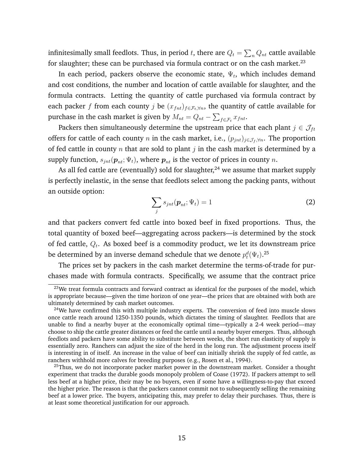infinitesimally small feedlots. Thus, in period  $t$ , there are  $Q_t = \sum_n Q_{nt}$  cattle available for slaughter; these can be purchased via formula contract or on the cash market.<sup>23</sup>

In each period, packers observe the economic state,  $\Psi_t$ , which includes demand and cost conditions, the number and location of cattle available for slaughter, and the formula contracts. Letting the quantity of cattle purchased via formula contract by each packer f from each county j be  $(x_{fnt})_{f \in \mathcal{F}_t, \forall n}$ , the quantity of cattle available for purchase in the cash market is given by  $M_{nt} = Q_{nt} - \sum_{f \in \mathcal{F}_t} x_{fnt}.$ 

Packers then simultaneously determine the upstream price that each plant  $j \in \mathcal{J}_{ft}$ offers for cattle of each county n in the cash market, i.e.,  $(p_{jnt})_{j \in \mathcal{J}_f, \forall n}$ . The proportion of fed cattle in county n that are sold to plant  $j$  in the cash market is determined by a supply function,  $s_{int}(\boldsymbol{p}_{nt}; \Psi_t)$ , where  $\boldsymbol{p}_{nt}$  is the vector of prices in county n.

As all fed cattle are (eventually) sold for slaughter, $^{24}$  we assume that market supply is perfectly inelastic, in the sense that feedlots select among the packing pants, without an outside option:

$$
\sum_{j} s_{jnt}(\boldsymbol{p}_{nt}; \Psi_t) = 1
$$
 (2)

and that packers convert fed cattle into boxed beef in fixed proportions. Thus, the total quantity of boxed beef—aggregating across packers—is determined by the stock of fed cattle,  $Q_t$ . As boxed beef is a commodity product, we let its downstream price be determined by an inverse demand schedule that we denote  $p_t^d(\Psi_t).^{25}$ 

The prices set by packers in the cash market determine the terms-of-trade for purchases made with formula contracts. Specifically, we assume that the contract price

 $23$ We treat formula contracts and forward contract as identical for the purposes of the model, which is appropriate because—given the time horizon of one year—the prices that are obtained with both are ultimately determined by cash market outcomes.

 $24$ We have confirmed this with multiple industry experts. The conversion of feed into muscle slows once cattle reach around 1250-1350 pounds, which dictates the timing of slaughter. Feedlots that are unable to find a nearby buyer at the economically optimal time—typically a 2-4 week period—may choose to ship the cattle greater distances or feed the cattle until a nearby buyer emerges. Thus, although feedlots and packers have some ability to substitute between weeks, the short run elasticity of supply is essentially zero. Ranchers can adjust the size of the herd in the long run. The adjustment process itself is interesting in of itself. An increase in the value of beef can initially shrink the supply of fed cattle, as ranchers withhold more calves for breeding purposes (e.g., Rosen et al., 1994).

 $^{25}$ Thus, we do not incorporate packer market power in the downstream market. Consider a thought experiment that tracks the durable goods monopoly problem of Coase (1972). If packers attempt to sell less beef at a higher price, their may be no buyers, even if some have a willingness-to-pay that exceed the higher price. The reason is that the packers cannot commit not to subsequently selling the remaining beef at a lower price. The buyers, anticipating this, may prefer to delay their purchases. Thus, there is at least some theoretical justification for our approach.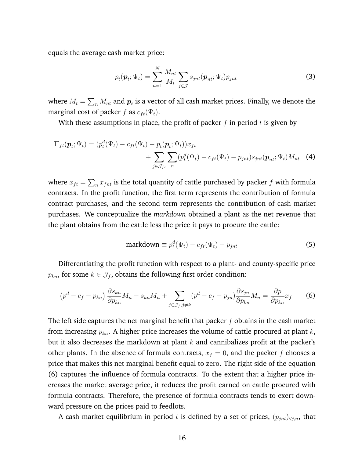equals the average cash market price:

$$
\overline{p}_t(\boldsymbol{p}_t; \Psi_t) = \sum_{n=1}^N \frac{M_{nt}}{M_t} \sum_{j \in \mathcal{J}} s_{jnt}(\boldsymbol{p}_{nt}; \Psi_t) p_{jnt}
$$
(3)

where  $M_t = \sum_n M_{nt}$  and  $\boldsymbol{p}_t$  is a vector of all cash market prices. Finally, we denote the marginal cost of packer f as  $c_{ft}(\Psi_t)$ .

With these assumptions in place, the profit of packer  $f$  in period  $t$  is given by

$$
\Pi_{ft}(\boldsymbol{p}_t; \Psi_t) = (p_t^d(\Psi_t) - c_{ft}(\Psi_t) - \overline{p}_t(\boldsymbol{p}_t; \Psi_t))x_{ft} + \sum_{j \in \mathcal{J}_{ft}} \sum_n (p_t^d(\Psi_t) - c_{ft}(\Psi_t) - p_{jnt})s_{jnt}(\boldsymbol{p}_{nt}; \Psi_t)M_{nt} \quad (4)
$$

where  $x_{ft} = \sum_n x_{fnt}$  is the total quantity of cattle purchased by packer  $f$  with formula contracts. In the profit function, the first term represents the contribution of formula contract purchases, and the second term represents the contribution of cash market purchases. We conceptualize the *markdown* obtained a plant as the net revenue that the plant obtains from the cattle less the price it pays to procure the cattle:

$$
\text{markdown} \equiv p_t^d(\Psi_t) - c_{ft}(\Psi_t) - p_{jnt} \tag{5}
$$

Differentiating the profit function with respect to a plant- and county-specific price  $p_{kn}$ , for some  $k \in \mathcal{J}_f$ , obtains the following first order condition:

$$
\left(p^d - c_f - p_{kn}\right) \frac{\partial s_{kn}}{\partial p_{kn}} M_n - s_{kn} M_n + \sum_{j \in \mathcal{J}_f, j \neq k} \left(p^d - c_f - p_{jn}\right) \frac{\partial s_{jn}}{\partial p_{kn}} M_n = \frac{\partial \overline{p}}{\partial p_{kn}} x_f \tag{6}
$$

The left side captures the net marginal benefit that packer  $f$  obtains in the cash market from increasing  $p_{kn}$ . A higher price increases the volume of cattle procured at plant  $k$ , but it also decreases the markdown at plant  $k$  and cannibalizes profit at the packer's other plants. In the absence of formula contracts,  $x_f = 0$ , and the packer f chooses a price that makes this net marginal benefit equal to zero. The right side of the equation (6) captures the influence of formula contracts. To the extent that a higher price increases the market average price, it reduces the profit earned on cattle procured with formula contracts. Therefore, the presence of formula contracts tends to exert downward pressure on the prices paid to feedlots.

A cash market equilibrium in period t is defined by a set of prices,  $(p_{int})_{\forall i,n}$ , that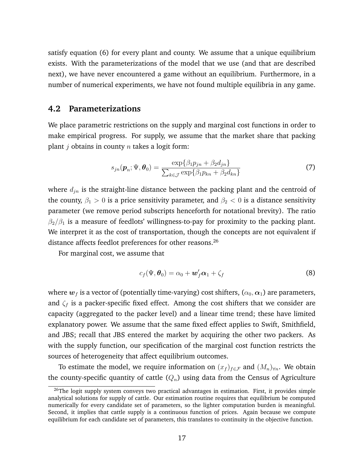satisfy equation (6) for every plant and county. We assume that a unique equilibrium exists. With the parameterizations of the model that we use (and that are described next), we have never encountered a game without an equilibrium. Furthermore, in a number of numerical experiments, we have not found multiple equilibria in any game.

#### **4.2 Parameterizations**

We place parametric restrictions on the supply and marginal cost functions in order to make empirical progress. For supply, we assume that the market share that packing plant  $j$  obtains in county  $n$  takes a logit form:

$$
s_{jn}(\boldsymbol{p}_n; \Psi, \boldsymbol{\theta}_0) = \frac{\exp\{\beta_1 p_{jn} + \beta_2 d_{jn}\}}{\sum_{k \in \mathcal{J}} \exp\{\beta_1 p_{kn} + \beta_2 d_{kn}\}}
$$
(7)

where  $d_{in}$  is the straight-line distance between the packing plant and the centroid of the county,  $\beta_1 > 0$  is a price sensitivity parameter, and  $\beta_2 < 0$  is a distance sensitivity parameter (we remove period subscripts henceforth for notational brevity). The ratio  $\beta_2/\beta_1$  is a measure of feedlots' willingness-to-pay for proximity to the packing plant. We interpret it as the cost of transportation, though the concepts are not equivalent if distance affects feedlot preferences for other reasons.<sup>26</sup>

For marginal cost, we assume that

$$
c_f(\Psi, \boldsymbol{\theta}_0) = \alpha_0 + \boldsymbol{w}_f' \boldsymbol{\alpha}_1 + \zeta_f \tag{8}
$$

where  $w_f$  is a vector of (potentially time-varying) cost shifters,  $(\alpha_0, \alpha_1)$  are parameters, and  $\zeta_f$  is a packer-specific fixed effect. Among the cost shifters that we consider are capacity (aggregated to the packer level) and a linear time trend; these have limited explanatory power. We assume that the same fixed effect applies to Swift, Smithfield, and JBS; recall that JBS entered the market by acquiring the other two packers. As with the supply function, our specification of the marginal cost function restricts the sources of heterogeneity that affect equilibrium outcomes.

To estimate the model, we require information on  $(x_f)_{f \in \mathcal{F}}$  and  $(M_n)_{\forall n}$ . We obtain the county-specific quantity of cattle  $(Q_n)$  using data from the Census of Agriculture

<sup>&</sup>lt;sup>26</sup>The logit supply system conveys two practical advantages in estimation. First, it provides simple analytical solutions for supply of cattle. Our estimation routine requires that equilibrium be computed numerically for every candidate set of parameters, so the lighter computation burden is meaningful. Second, it implies that cattle supply is a continuous function of prices. Again because we compute equilibrium for each candidate set of parameters, this translates to continuity in the objective function.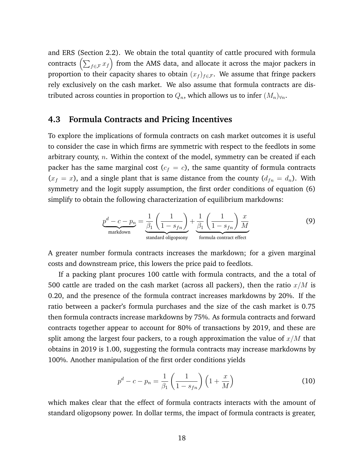and ERS (Section 2.2). We obtain the total quantity of cattle procured with formula contracts  $\left(\sum_{f\in\mathcal{F}}x_f\right)$  from the AMS data, and allocate it across the major packers in proportion to their capacity shares to obtain  $(x_f)_{f \in \mathcal{F}}$ . We assume that fringe packers rely exclusively on the cash market. We also assume that formula contracts are distributed across counties in proportion to  $Q_n$ , which allows us to infer  $(M_n)_{\forall n}$ .

#### **4.3 Formula Contracts and Pricing Incentives**

To explore the implications of formula contracts on cash market outcomes it is useful to consider the case in which firms are symmetric with respect to the feedlots in some arbitrary county,  $n$ . Within the context of the model, symmetry can be created if each packer has the same marginal cost  $(c_f = c)$ , the same quantity of formula contracts  $(x_f = x)$ , and a single plant that is same distance from the county  $(d_{fn} = d_n)$ . With symmetry and the logit supply assumption, the first order conditions of equation (6) simplify to obtain the following characterization of equilibrium markdowns:

$$
\underbrace{p^d - c - p_n}_{\text{markdown}} = \underbrace{\frac{1}{\beta_1} \left( \frac{1}{1 - s_{fn}} \right)}_{\text{standard oligopsony}} + \underbrace{\frac{1}{\beta_1} \left( \frac{1}{1 - s_{fn}} \right) \frac{x}{M}}_{\text{formula contract effect}}
$$
(9)

A greater number formula contracts increases the markdown; for a given marginal costs and downstream price, this lowers the price paid to feedlots.

If a packing plant procures 100 cattle with formula contracts, and the a total of 500 cattle are traded on the cash market (across all packers), then the ratio  $x/M$  is 0.20, and the presence of the formula contract increases markdowns by 20%. If the ratio between a packer's formula purchases and the size of the cash market is 0.75 then formula contracts increase markdowns by 75%. As formula contracts and forward contracts together appear to account for 80% of transactions by 2019, and these are split among the largest four packers, to a rough approximation the value of  $x/M$  that obtains in 2019 is 1.00, suggesting the formula contracts may increase markdowns by 100%. Another manipulation of the first order conditions yields

$$
p^d - c - p_n = \frac{1}{\beta_1} \left( \frac{1}{1 - s_{fn}} \right) \left( 1 + \frac{x}{M} \right) \tag{10}
$$

which makes clear that the effect of formula contracts interacts with the amount of standard oligopsony power. In dollar terms, the impact of formula contracts is greater,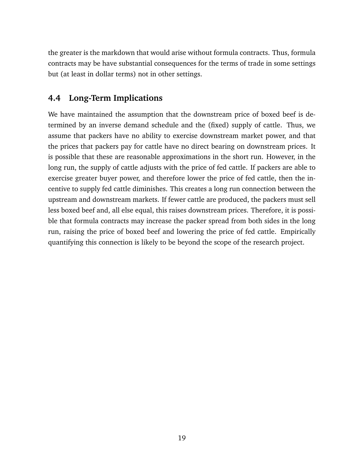the greater is the markdown that would arise without formula contracts. Thus, formula contracts may be have substantial consequences for the terms of trade in some settings but (at least in dollar terms) not in other settings.

## **4.4 Long-Term Implications**

We have maintained the assumption that the downstream price of boxed beef is determined by an inverse demand schedule and the (fixed) supply of cattle. Thus, we assume that packers have no ability to exercise downstream market power, and that the prices that packers pay for cattle have no direct bearing on downstream prices. It is possible that these are reasonable approximations in the short run. However, in the long run, the supply of cattle adjusts with the price of fed cattle. If packers are able to exercise greater buyer power, and therefore lower the price of fed cattle, then the incentive to supply fed cattle diminishes. This creates a long run connection between the upstream and downstream markets. If fewer cattle are produced, the packers must sell less boxed beef and, all else equal, this raises downstream prices. Therefore, it is possible that formula contracts may increase the packer spread from both sides in the long run, raising the price of boxed beef and lowering the price of fed cattle. Empirically quantifying this connection is likely to be beyond the scope of the research project.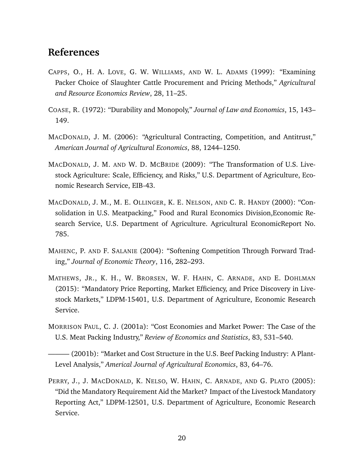## **References**

- CAPPS, O., H. A. LOVE, G. W. WILLIAMS, AND W. L. ADAMS (1999): "Examining Packer Choice of Slaughter Cattle Procurement and Pricing Methods," *Agricultural and Resource Economics Review*, 28, 11–25.
- COASE, R. (1972): "Durability and Monopoly," *Journal of Law and Economics*, 15, 143– 149.
- MACDONALD, J. M. (2006): "Agricultural Contracting, Competition, and Antitrust," *American Journal of Agricultural Economics*, 88, 1244–1250.
- MACDONALD, J. M. AND W. D. MCBRIDE (2009): "The Transformation of U.S. Livestock Agriculture: Scale, Efficiency, and Risks," U.S. Department of Agriculture, Economic Research Service, EIB-43.
- MACDONALD, J. M., M. E. OLLINGER, K. E. NELSON, AND C. R. HANDY (2000): "Consolidation in U.S. Meatpacking," Food and Rural Economics Division,Economic Research Service, U.S. Department of Agriculture. Agricultural EconomicReport No. 785.
- MAHENC, P. AND F. SALANIE (2004): "Softening Competition Through Forward Trading," *Journal of Economic Theory*, 116, 282–293.
- MATHEWS, JR., K. H., W. BRORSEN, W. F. HAHN, C. ARNADE, AND E. DOHLMAN (2015): "Mandatory Price Reporting, Market Efficiency, and Price Discovery in Livestock Markets," LDPM-15401, U.S. Department of Agriculture, Economic Research Service.
- MORRISON PAUL, C. J. (2001a): "Cost Economies and Market Power: The Case of the U.S. Meat Packing Industry," *Review of Economics and Statistics*, 83, 531–540.

——— (2001b): "Market and Cost Structure in the U.S. Beef Packing Industry: A Plant-Level Analysis," *Americal Journal of Agricultural Economics*, 83, 64–76.

PERRY, J., J. MACDONALD, K. NELSO, W. HAHN, C. ARNADE, AND G. PLATO (2005): "Did the Mandatory Requirement Aid the Market? Impact of the Livestock Mandatory Reporting Act," LDPM-12501, U.S. Department of Agriculture, Economic Research Service.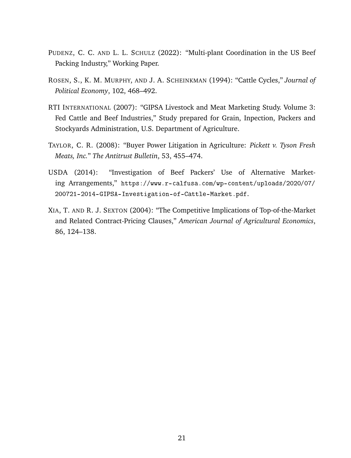- PUDENZ, C. C. AND L. L. SCHULZ (2022): "Multi-plant Coordination in the US Beef Packing Industry," Working Paper.
- ROSEN, S., K. M. MURPHY, AND J. A. SCHEINKMAN (1994): "Cattle Cycles," *Journal of Political Economy*, 102, 468–492.
- RTI INTERNATIONAL (2007): "GIPSA Livestock and Meat Marketing Study. Volume 3: Fed Cattle and Beef Industries," Study prepared for Grain, Inpection, Packers and Stockyards Administration, U.S. Department of Agriculture.
- TAYLOR, C. R. (2008): "Buyer Power Litigation in Agriculture: *Pickett v. Tyson Fresh Meats, Inc.*" *The Antitrust Bulletin*, 53, 455–474.
- USDA (2014): "Investigation of Beef Packers' Use of Alternative Marketing Arrangements," https://www.r-calfusa.com/wp-content/uploads/2020/07/ 200721-2014-GIPSA-Investigation-of-Cattle-Market.pdf.
- XIA, T. AND R. J. SEXTON (2004): "The Competitive Implications of Top-of-the-Market and Related Contract-Pricing Clauses," *American Journal of Agricultural Economics*, 86, 124–138.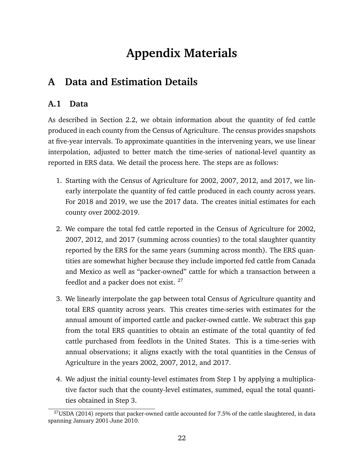# **Appendix Materials**

## **A Data and Estimation Details**

### **A.1 Data**

As described in Section 2.2, we obtain information about the quantity of fed cattle produced in each county from the Census of Agriculture. The census provides snapshots at five-year intervals. To approximate quantities in the intervening years, we use linear interpolation, adjusted to better match the time-series of national-level quantity as reported in ERS data. We detail the process here. The steps are as follows:

- 1. Starting with the Census of Agriculture for 2002, 2007, 2012, and 2017, we linearly interpolate the quantity of fed cattle produced in each county across years. For 2018 and 2019, we use the 2017 data. The creates initial estimates for each county over 2002-2019.
- 2. We compare the total fed cattle reported in the Census of Agriculture for 2002, 2007, 2012, and 2017 (summing across counties) to the total slaughter quantity reported by the ERS for the same years (summing across month). The ERS quantities are somewhat higher because they include imported fed cattle from Canada and Mexico as well as "packer-owned" cattle for which a transaction between a feedlot and a packer does not exist. <sup>27</sup>
- 3. We linearly interpolate the gap between total Census of Agriculture quantity and total ERS quantity across years. This creates time-series with estimates for the annual amount of imported cattle and packer-owned cattle. We subtract this gap from the total ERS quantities to obtain an estimate of the total quantity of fed cattle purchased from feedlots in the United States. This is a time-series with annual observations; it aligns exactly with the total quantities in the Census of Agriculture in the years 2002, 2007, 2012, and 2017.
- 4. We adjust the initial county-level estimates from Step 1 by applying a multiplicative factor such that the county-level estimates, summed, equal the total quantities obtained in Step 3.

 $^{27}$ USDA (2014) reports that packer-owned cattle accounted for 7.5% of the cattle slaughtered, in data spanning January 2001-June 2010.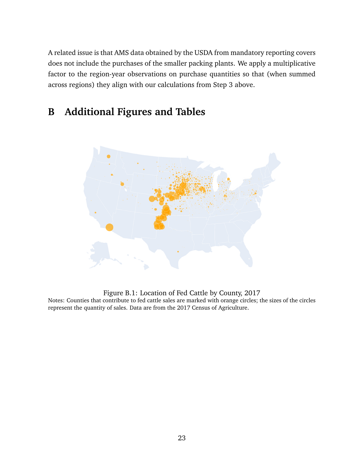A related issue is that AMS data obtained by the USDA from mandatory reporting covers does not include the purchases of the smaller packing plants. We apply a multiplicative factor to the region-year observations on purchase quantities so that (when summed across regions) they align with our calculations from Step 3 above.

## **B Additional Figures and Tables**



Figure B.1: Location of Fed Cattle by County, 2017

Notes: Counties that contribute to fed cattle sales are marked with orange circles; the sizes of the circles represent the quantity of sales. Data are from the 2017 Census of Agriculture.